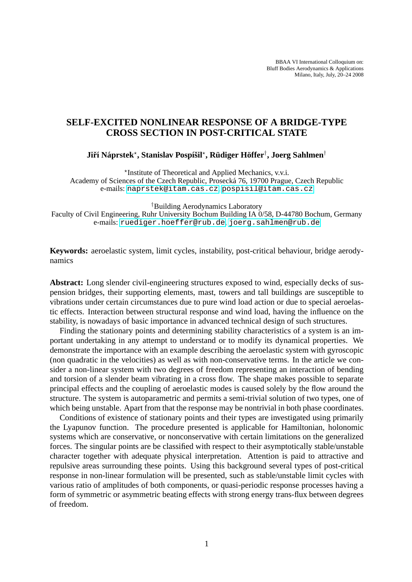BBAA VI International Colloquium on: Bluff Bodies Aerodynamics & Applications Milano, Italy, July, 20–24 2008

# **SELF-EXCITED NONLINEAR RESPONSE OF A BRIDGE-TYPE CROSS SECTION IN POST-CRITICAL STATE**

# ${\bf J}$ iří Náprstek\*, Stanislav Pospíšil\*, Rüdiger Höffer<sup>†</sup>, Joerg Sahlmen<sup>†</sup>

? Institute of Theoretical and Applied Mechanics, v.v.i. Academy of Sciences of the Czech Republic, Prosecka 76, 19700 Prague, Czech Republic ´ e-mails: <naprstek@itam.cas.cz>, <pospisil@itam.cas.cz>

†Building Aerodynamics Laboratory

Faculty of Civil Engineering, Ruhr University Bochum Building IA 0/58, D-44780 Bochum, Germany e-mails: <ruediger.hoeffer@rub.de>, <joerg.sahlmen@rub.de>

**Keywords:** aeroelastic system, limit cycles, instability, post-critical behaviour, bridge aerodynamics

**Abstract:** Long slender civil-engineering structures exposed to wind, especially decks of suspension bridges, their supporting elements, mast, towers and tall buildings are susceptible to vibrations under certain circumstances due to pure wind load action or due to special aeroelastic effects. Interaction between structural response and wind load, having the influence on the stability, is nowadays of basic importance in advanced technical design of such structures.

Finding the stationary points and determining stability characteristics of a system is an important undertaking in any attempt to understand or to modify its dynamical properties. We demonstrate the importance with an example describing the aeroelastic system with gyroscopic (non quadratic in the velocities) as well as with non-conservative terms. In the article we consider a non-linear system with two degrees of freedom representing an interaction of bending and torsion of a slender beam vibrating in a cross flow. The shape makes possible to separate principal effects and the coupling of aeroelastic modes is caused solely by the flow around the structure. The system is autoparametric and permits a semi-trivial solution of two types, one of which being unstable. Apart from that the response may be nontrivial in both phase coordinates.

Conditions of existence of stationary points and their types are investigated using primarily the Lyapunov function. The procedure presented is applicable for Hamiltonian, holonomic systems which are conservative, or nonconservative with certain limitations on the generalized forces. The singular points are be classified with respect to their asymptotically stable/unstable character together with adequate physical interpretation. Attention is paid to attractive and repulsive areas surrounding these points. Using this background several types of post-critical response in non-linear formulation will be presented, such as stable/unstable limit cycles with various ratio of amplitudes of both components, or quasi-periodic response processes having a form of symmetric or asymmetric beating effects with strong energy trans-flux between degrees of freedom.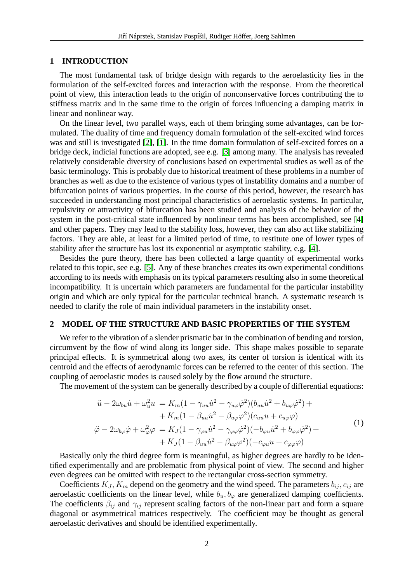#### **1 INTRODUCTION**

The most fundamental task of bridge design with regards to the aeroelasticity lies in the formulation of the self-excited forces and interaction with the response. From the theoretical point of view, this interaction leads to the origin of nonconservative forces contributing the to stiffness matrix and in the same time to the origin of forces influencing a damping matrix in linear and nonlinear way.

On the linear level, two parallel ways, each of them bringing some advantages, can be formulated. The duality of time and frequency domain formulation of the self-excited wind forces was and still is investigated [\[2\]](#page-3-0), [\[1\]](#page-3-1). In the time domain formulation of self-excited forces on a bridge deck, indicial functions are adopted, see e.g. [\[3\]](#page-3-2) among many. The analysis has revealed relatively considerable diversity of conclusions based on experimental studies as well as of the basic terminology. This is probably due to historical treatment of these problems in a number of branches as well as due to the existence of various types of instability domains and a number of bifurcation points of various properties. In the course of this period, however, the research has succeeded in understanding most principal characteristics of aeroelastic systems. In particular, repulsivity or attractivity of bifurcation has been studied and analysis of the behavior of the system in the post-critical state influenced by nonlinear terms has been accomplished, see [\[4\]](#page-3-3) and other papers. They may lead to the stability loss, however, they can also act like stabilizing factors. They are able, at least for a limited period of time, to restitute one of lower types of stability after the structure has lost its exponential or asymptotic stability, e.g. [\[4\]](#page-3-3).

Besides the pure theory, there has been collected a large quantity of experimental works related to this topic, see e.g. [\[5\]](#page-3-4). Any of these branches creates its own experimental conditions according to its needs with emphasis on its typical parameters resulting also in some theoretical incompatibility. It is uncertain which parameters are fundamental for the particular instability origin and which are only typical for the particular technical branch. A systematic research is needed to clarify the role of main individual parameters in the instability onset.

# **2 MODEL OF THE STRUCTURE AND BASIC PROPERTIES OF THE SYSTEM**

We refer to the vibration of a slender prismatic bar in the combination of bending and torsion, circumvent by the flow of wind along its longer side. This shape makes possible to separate principal effects. It is symmetrical along two axes, its center of torsion is identical with its centroid and the effects of aerodynamic forces can be referred to the center of this section. The coupling of aeroelastic modes is caused solely by the flow around the structure.

<span id="page-1-0"></span>The movement of the system can be generally described by a couple of differential equations:

$$
\ddot{u} - 2\omega_{bu}\dot{u} + \omega_u^2 u = K_m(1 - \gamma_{uu}\dot{u}^2 - \gamma_{u\varphi}\dot{\varphi}^2)(b_{uu}\dot{u}^2 + b_{u\varphi}\dot{\varphi}^2) ++ K_m(1 - \beta_{uu}\dot{u}^2 - \beta_{u\varphi}\varphi^2)(c_{uu}u + c_{u\varphi}\varphi) \n\ddot{\varphi} - 2\omega_{b\varphi}\dot{\varphi} + \omega_{\varphi}^2 \varphi = K_J(1 - \gamma_{\varphi u}\dot{u}^2 - \gamma_{\varphi\varphi}\dot{\varphi}^2)(-b_{\varphi u}\dot{u}^2 + b_{\varphi\varphi}\dot{\varphi}^2) ++ K_J(1 - \beta_{uu}\dot{u}^2 - \beta_{u\varphi}\varphi^2)(-c_{\varphi u}u + c_{\varphi\varphi}\varphi)
$$
\n(1)

Basically only the third degree form is meaningful, as higher degrees are hardly to be identified experimentally and are problematic from physical point of view. The second and higher even degrees can be omitted with respect to the rectangular cross-section symmetry.

Coefficients  $K_J, K_m$  depend on the geometry and the wind speed. The parameters  $b_{ij}, c_{ij}$  are aeroelastic coefficients on the linear level, while  $b<sub>u</sub>, b<sub>\varphi</sub>$  are generalized damping coefficients. The coefficients  $\beta_{ij}$  and  $\gamma_{ij}$  represent scaling factors of the non-linear part and form a square diagonal or asymmetrical matrices respectively. The coefficient may be thought as general aeroelastic derivatives and should be identified experimentally.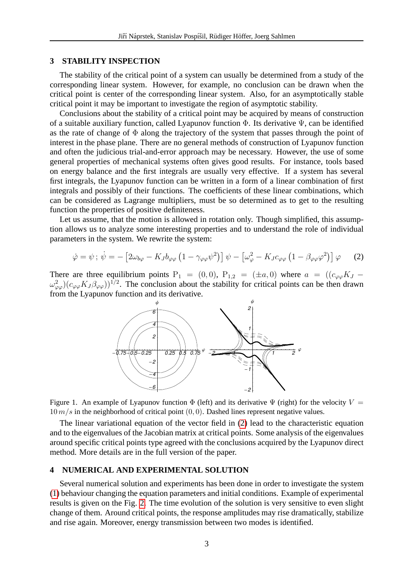#### **3 STABILITY INSPECTION**

The stability of the critical point of a system can usually be determined from a study of the corresponding linear system. However, for example, no conclusion can be drawn when the critical point is center of the corresponding linear system. Also, for an asymptotically stable critical point it may be important to investigate the region of asymptotic stability.

Conclusions about the stability of a critical point may be acquired by means of construction of a suitable auxiliary function, called Lyapunov function Φ. Its derivative Ψ, can be identified as the rate of change of  $\Phi$  along the trajectory of the system that passes through the point of interest in the phase plane. There are no general methods of construction of Lyapunov function and often the judicious trial-and-error approach may be necessary. However, the use of some general properties of mechanical systems often gives good results. For instance, tools based on energy balance and the first integrals are usually very effective. If a system has several first integrals, the Lyapunov function can be written in a form of a linear combination of first integrals and possibly of their functions. The coefficients of these linear combinations, which can be considered as Lagrange multipliers, must be so determined as to get to the resulting function the properties of positive definiteness.

Let us assume, that the motion is allowed in rotation only. Though simplified, this assumption allows us to analyze some interesting properties and to understand the role of individual parameters in the system. We rewrite the system:

$$
\dot{\varphi} = \psi \, ; \, \dot{\psi} = - \left[ 2\omega_{b\varphi} - K_J b_{\varphi\varphi} \left( 1 - \gamma_{\varphi\varphi} \psi^2 \right) \right] \psi - \left[ \omega_{\varphi}^2 - K_J c_{\varphi\varphi} \left( 1 - \beta_{\varphi\varphi} \varphi^2 \right) \right] \varphi \tag{2}
$$

There are three equilibrium points  $P_1 = (0,0)$ ,  $P_{1,2} = (\pm a, 0)$  where  $a = ((c_{\varphi\varphi}K_J \omega_{\varphi\varphi}^2$ )( $c_{\varphi\varphi}K_J\beta_{\varphi\varphi}$ ))<sup>1/2</sup>. The conclusion about the stability for critical points can be then drawn from the Lyapunov function and its derivative.

<span id="page-2-0"></span>

Figure 1. An example of Lyapunov function  $\Phi$  (left) and its derivative  $\Psi$  (right) for the velocity  $V =$  $10 \, m/s$  in the neighborhood of critical point  $(0, 0)$ . Dashed lines represent negative values.

The linear variational equation of the vector field in [\(2\)](#page-2-0) lead to the characteristic equation and to the eigenvalues of the Jacobian matrix at critical points. Some analysis of the eigenvalues around specific critical points type agreed with the conclusions acquired by the Lyapunov direct method. More details are in the full version of the paper.

#### **4 NUMERICAL AND EXPERIMENTAL SOLUTION**

Several numerical solution and experiments has been done in order to investigate the system [\(1\)](#page-1-0) behaviour changing the equation parameters and initial conditions. Example of experimental results is given on the Fig. [2.](#page-3-5) The time evolution of the solution is very sensitive to even slight change of them. Around critical points, the response amplitudes may rise dramatically, stabilize and rise again. Moreover, energy transmission between two modes is identified.